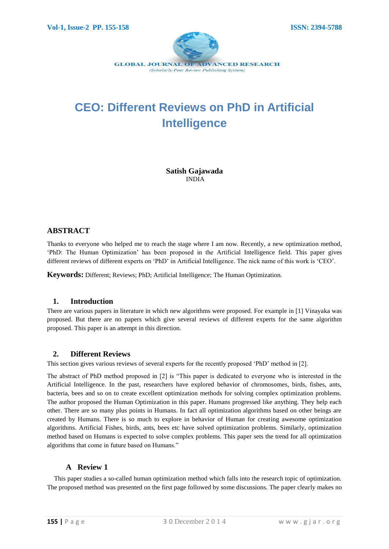

# **CEO: Different Reviews on PhD in Artificial Intelligence**

**Satish Gajawada** INDIA

# **ABSTRACT**

Thanks to everyone who helped me to reach the stage where I am now. Recently, a new optimization method, "PhD: The Human Optimization" has been proposed in the Artificial Intelligence field. This paper gives different reviews of different experts on "PhD" in Artificial Intelligence. The nick name of this work is "CEO".

**Keywords:** Different; Reviews; PhD; Artificial Intelligence; The Human Optimization.

## **1. Introduction**

There are various papers in literature in which new algorithms were proposed. For example in [1] Vinayaka was proposed. But there are no papers which give several reviews of different experts for the same algorithm proposed. This paper is an attempt in this direction.

## **2. Different Reviews**

This section gives various reviews of several experts for the recently proposed "PhD" method in [2].

The abstract of PhD method proposed in [2] is "This paper is dedicated to everyone who is interested in the Artificial Intelligence. In the past, researchers have explored behavior of chromosomes, birds, fishes, ants, bacteria, bees and so on to create excellent optimization methods for solving complex optimization problems. The author proposed the Human Optimization in this paper. Humans progressed like anything. They help each other. There are so many plus points in Humans. In fact all optimization algorithms based on other beings are created by Humans. There is so much to explore in behavior of Human for creating awesome optimization algorithms. Artificial Fishes, birds, ants, bees etc have solved optimization problems. Similarly, optimization method based on Humans is expected to solve complex problems. This paper sets the trend for all optimization algorithms that come in future based on Humans."

# **A Review 1**

This paper studies a so-called human optimization method which falls into the research topic of optimization. The proposed method was presented on the first page followed by some discussions. The paper clearly makes no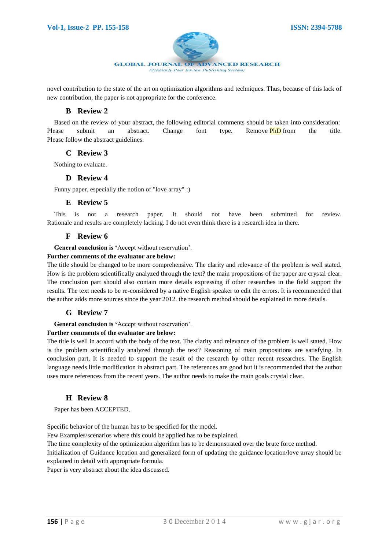

novel contribution to the state of the art on optimization algorithms and techniques. Thus, because of this lack of new contribution, the paper is not appropriate for the conference.

## **B Review 2**

Based on the review of your abstract, the following editorial comments should be taken into consideration: Please submit an abstract. Change font type. Remove **PhD** from the title. Please follow the abstract guidelines.

## **C Review 3**

Nothing to evaluate.

#### **D Review 4**

Funny paper, especially the notion of "love array" :)

## **E Review 5**

This is not a research paper. It should not have been submitted for review. Rationale and results are completely lacking. I do not even think there is a research idea in there.

# **F Review 6**

**General conclusion is '**Accept without reservation".

#### **Further comments of the evaluator are below:**

The title should be changed to be more comprehensive. The clarity and relevance of the problem is well stated. How is the problem scientifically analyzed through the text? the main propositions of the paper are crystal clear. The conclusion part should also contain more details expressing if other researches in the field support the results. The text needs to be re-considered by a native English speaker to edit the errors. It is recommended that the author adds more sources since the year 2012. the research method should be explained in more details.

## **G Review 7**

**General conclusion is '**Accept without reservation".

#### **Further comments of the evaluator are below:**

The title is well in accord with the body of the text. The clarity and relevance of the problem is well stated. How is the problem scientifically analyzed through the text? Reasoning of main propositions are satisfying. In conclusion part, It is needed to support the result of the research by other recent researches. The English language needs little modification in abstract part. The references are good but it is recommended that the author uses more references from the recent years. The author needs to make the main goals crystal clear.

## **H Review 8**

Paper has been ACCEPTED.

Specific behavior of the human has to be specified for the model.

Few Examples/scenarios where this could be applied has to be explained.

The time complexity of the optimization algorithm has to be demonstrated over the brute force method.

Initialization of Guidance location and generalized form of updating the guidance location/love array should be explained in detail with appropriate formula.

Paper is very abstract about the idea discussed.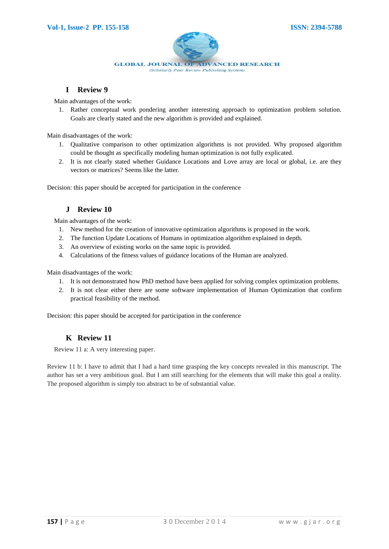

**I Review 9**

Main advantages of the work:

1. Rather conceptual work pondering another interesting approach to optimization problem solution. Goals are clearly stated and the new algorithm is provided and explained.

Main disadvantages of the work:

- 1. Qualitative comparison to other optimization algorithms is not provided. Why proposed algorithm could be thought as specifically modeling human optimization is not fully explicated.
- 2. It is not clearly stated whether Guidance Locations and Love array are local or global, i.e. are they vectors or matrices? Seems like the latter.

Decision: this paper should be accepted for participation in the conference

# **J Review 10**

Main advantages of the work:

- 1. New method for the creation of innovative optimization algorithms is proposed in the work.
- 2. The function Update Locations of Humans in optimization algorithm explained in depth.
- 3. An overview of existing works on the same topic is provided.
- 4. Calculations of the fitness values of guidance locations of the Human are analyzed.

Main disadvantages of the work:

- 1. It is not demonstrated how PhD method have been applied for solving complex optimization problems.
- 2. It is not clear either there are some software implementation of Human Optimization that confirm practical feasibility of the method.

Decision: this paper should be accepted for participation in the conference

## **K Review 11**

Review 11 a: A very interesting paper.

Review 11 b: I have to admit that I had a hard time grasping the key concepts revealed in this manuscript. The author has set a very ambitious goal. But I am still searching for the elements that will make this goal a reality. The proposed algorithm is simply too abstract to be of substantial value.